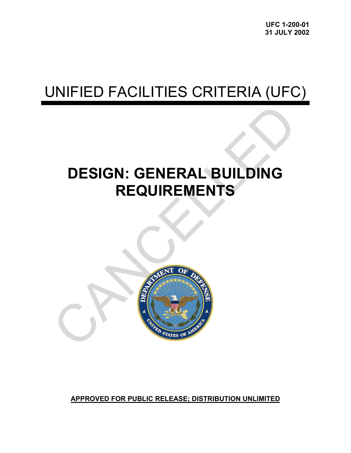# UNIFIED FACILITIES CRITERIA (UFC)

# **DESIGN: GENERAL BUILDING REQUIREMENTS**



**APPROVED FOR PUBLIC RELEASE; DISTRIBUTION UNLIMITED**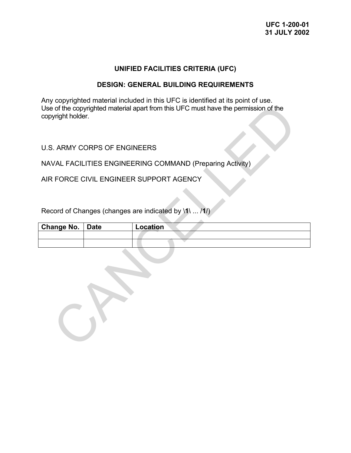# **UNIFIED FACILITIES CRITERIA (UFC)**

### **DESIGN: GENERAL BUILDING REQUIREMENTS**

Any copyrighted material included in this UFC is identified at its point of use. Use of the copyrighted material apart from this UFC must have the permission of the copyright holder.

U.S. ARMY CORPS OF ENGINEERS

NAVAL FACILITIES ENGINEERING COMMAND (Preparing Activity)

AIR FORCE CIVIL ENGINEER SUPPORT AGENCY

Record of Changes (changes are indicated by \**1**\ ... /**1**/)

| Change No.   Date | Location |
|-------------------|----------|
|                   |          |
|                   |          |

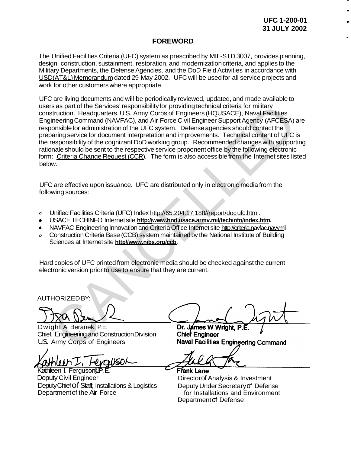# **FOREWORD**

The Unified Facilities Criteria (UFC) system as prescribed by MIL-STD 3007, provides planning, design, construction, sustainment, restoration, and modernization criteria, and applies to the Military Departments, the Defense Agencies, and the DoD Field Activities in accordance with USD(AT&L) Memorandum dated 29 May 2002. UFC will be used for all service projects and [work for other customers wh](http://www.hnd.usace.army.mil/TECHINFO/UFC/052902_SignedUFCImplementationMemo.pdf)ere appropriate.

UFC are living documents and will be periodically reviewed, updated, and made available to users as part of the Services' responsibility for providing technical criteria for military construction. Headquarters, U.S. Army Corps of Engineers (HQUSACE), Naval Facilities Engineering Command (NAVFAC), and Air Force Civil Engineer Support Agency (AFCESA) are responsible for administration of the UFC system. Defense agencies should contact the preparing service for document interpretation and improvements. Technical content of UFC is the responsibility of the cognizant DoD working group. Recommended changes with supporting rationale should be sent to the respective service proponent office by the following electronic form: Criteria Change Request (CCR). The form is also accessible from the Internet sites listed below. s as part of the Services' responsibility for providing technical criteria for military<br>
struction. Headquarters, U.S. Army Corps of Engineers (HQUSACE), Naval Facilities<br>
neering Command (NAVFAC), and Air Frore Civil Engi

UFC are effective upon issuance. UFC are distributed only in electronic media from the following sources:

- *0*  Unified Facilities Criteria (UFC) Index http://65.204.17.188//report/docufc.html.
- USACE TECHINFO Internet site **http://www.hnd.usace.armv.mil/techinfo/index.htm.**
- NAVFAC Engineering Innovation and Criteria Office Internet site http://criteria.navfac.navymil.  $\bullet$
- *0*  Construction Criteria Base (CCB) system maintained by the National Institute of Building Sciences at Internet site **http//www.nibs.org/ccb.**

Hard copies of UFC printed from electronic media should be checked against the current electronic version prior to use to ensure that they are current.

AUTHORIZED BY:

Dwight A Beranek, P.E. Chief, Engineering and Construction Division U.S. Army Corps of Engineers

 $X$ athleen I. Ferguson

Kathleen I. Ferguson<sup>d</sup><sub>P.E.</sub> Deputy Civil Engineer Deputy Chief of Staff, Installations & Logistics Department of the Air Force

Frank Lane

Director of Analysis & Investment Deputy Under Secretary of Defense Department of Defense for Installations and Environment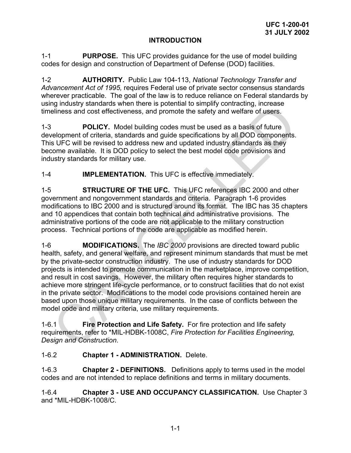# **INTRODUCTION**

1-1 **PURPOSE.** This UFC provides guidance for the use of model building codes for design and construction of Department of Defense (DOD) facilities.

1-2 **AUTHORITY.** Public Law 104-113, *National Technology Transfer and Advancement Act of 1995,* requires Federal use of private sector consensus standards wherever practicable. The goal of the law is to reduce reliance on Federal standards by using industry standards when there is potential to simplify contracting, increase timeliness and cost effectiveness, and promote the safety and welfare of users.

1-3 **POLICY.** Model building codes must be used as a basis of future development of criteria, standards and guide specifications by all DOD components. This UFC will be revised to address new and updated industry standards as they become available. It is DOD policy to select the best model code provisions and industry standards for military use.

1-4 **IMPLEMENTATION.** This UFC is effective immediately.

1-5 **STRUCTURE OF THE UFC.** This UFC references IBC 2000 and other government and nongovernment standards and criteria. Paragraph 1-6 provides modifications to IBC 2000 and is structured around its format. The IBC has 35 chapters and 10 appendices that contain both technical and administrative provisions. The administrative portions of the code are not applicable to the military construction process. Technical portions of the code are applicable as modified herein.

1-6 **MODIFICATIONS.** The *IBC 2000* provisions are directed toward public health, safety, and general welfare, and represent minimum standards that must be met by the private-sector construction industry. The use of industry standards for DOD projects is intended to promote communication in the marketplace, improve competition, and result in cost savings. However, the military often requires higher standards to achieve more stringent life-cycle performance, or to construct facilities that do not exist in the private sector. Modifications to the model code provisions contained herein are based upon those unique military requirements. In the case of conflicts between the model code and military criteria, use military requirements. ministry standards with the is potential to simpliny contacting, increases<br>
Phinass and cost effectiveness, and promote the safety and welfare of users.<br> **POLICY**. Model building codes must be used as a basis of future<br>
re

1-6.1 **Fire Protection and Life Safety.** For fire protection and life safety requirements, refer to \*MIL-HDBK-1008C, *Fire Protection for Facilities Engineering, Design and Construction*.

# 1-6.2 **Chapter 1 - ADMINISTRATION.** Delete.

1-6.3 **Chapter 2 - DEFINITIONS.** Definitions apply to terms used in the model codes and are not intended to replace definitions and terms in military documents.

1-6.4 **Chapter 3 - USE AND OCCUPANCY CLASSIFICATION.** Use Chapter 3 and \*MIL-HDBK-1008/C.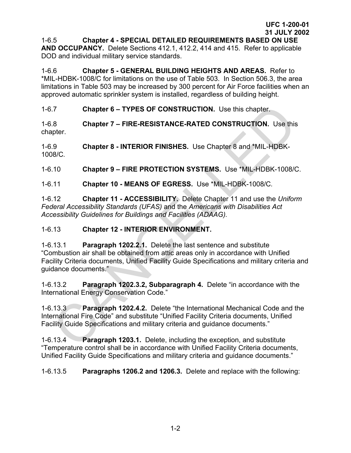1-6.5 **Chapter 4 - SPECIAL DETAILED REQUIREMENTS BASED ON USE AND OCCUPANCY.** Delete Sections 412.1, 412.2, 414 and 415. Refer to applicable

DOD and individual military service standards.

1-6.6 **Chapter 5 - GENERAL BUILDING HEIGHTS AND AREAS.** Refer to \*MIL-HDBK-1008/C for limitations on the use of Table 503. In Section 506.3, the area limitations in Table 503 may be increased by 300 percent for Air Force facilities when an approved automatic sprinkler system is installed, regardless of building height.

1-6.7 **Chapter 6 – TYPES OF CONSTRUCTION.** Use this chapter.

1-6.8 **Chapter 7 – FIRE-RESISTANCE-RATED CONSTRUCTION.** Use this chapter.

1-6.9 **Chapter 8 - INTERIOR FINISHES.** Use Chapter 8 and \*MIL-HDBK-1008/C*.* 

1-6.10 **Chapter 9 – FIRE PROTECTION SYSTEMS.** Use \*MIL-HDBK-1008/C.

1-6.11 **Chapter 10 - MEANS OF EGRESS.** Use \*MIL-HDBK-1008/C*.*

1-6.12 **Chapter 11 - ACCESSIBILITY.** Delete Chapter 11 and use the *Uniform Federal Accessibility Standards (UFAS)* and the *Americans with Disabilities Act Accessibility Guidelines for Buildings and Facilities (ADAAG).*

# 1-6.13 **Chapter 12 - INTERIOR ENVIRONMENT.**

1-6.13.1 **Paragraph 1202.2.1.** Delete the last sentence and substitute "Combustion air shall be obtained from attic areas only in accordance with Unified Facility Criteria documents, Unified Facility Guide Specifications and military criteria and guidance documents." Chapter 6 – TYPES OF CONSTRUCTION. Use this chapter.<br>
8.<br>
Chapter 7 – FIRE-RESISTANCE-RATED CONSTRUCTION. Use this<br>
pter.<br>
9.<br>
Chapter 8 - INTERIOR FINISHES. Use Chapter 8 and "MIL-HDBK-1008/C.<br>
Chapter 10 - MEANS OF EGRES

1-6.13.2 **Paragraph 1202.3.2, Subparagraph 4.** Delete "in accordance with the International Energy Conservation Code."

1-6.13.3 **Paragraph 1202.4.2.** Delete "the International Mechanical Code and the International Fire Code" and substitute "Unified Facility Criteria documents, Unified Facility Guide Specifications and military criteria and guidance documents."

1-6.13.4 **Paragraph 1203.1.** Delete, including the exception, and substitute "Temperature control shall be in accordance with Unified Facility Criteria documents, Unified Facility Guide Specifications and military criteria and guidance documents."

1-6.13.5 **Paragraphs 1206.2 and 1206.3.** Delete and replace with the following: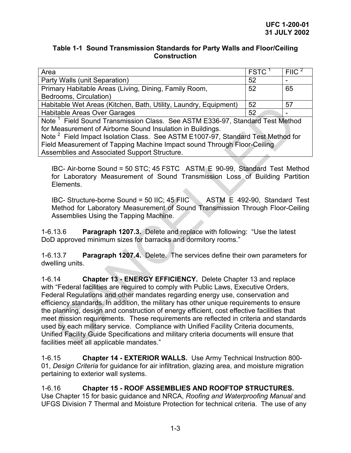# **Table 1-1 Sound Transmission Standards for Party Walls and Floor/Ceiling Construction**

| Area                                                                                        | <b>FSTC</b> | <b>FIIC</b> |
|---------------------------------------------------------------------------------------------|-------------|-------------|
| Party Walls (unit Separation)                                                               | 52          |             |
| Primary Habitable Areas (Living, Dining, Family Room,                                       | 52          | 65          |
| Bedrooms, Circulation)                                                                      |             |             |
| Habitable Wet Areas (Kitchen, Bath, Utility, Laundry, Equipment)                            | 52          | 57          |
| Habitable Areas Over Garages                                                                | 52          |             |
| Note <sup>1</sup> Field Sound Transmission Class. See ASTM E336-97, Standard Test Method    |             |             |
| for Measurement of Airborne Sound Insulation in Buildings.                                  |             |             |
| Note <sup>2</sup> Field Impact Isolation Class. See ASTM E1007-97, Standard Test Method for |             |             |
| Field Measurement of Tapping Machine Impact sound Through Floor-Ceiling                     |             |             |
| Assemblies and Associated Support Structure.                                                |             |             |
|                                                                                             |             |             |

IBC- Air-borne Sound = 50 STC; 45 FSTC ASTM E 90-99, Standard Test Method for Laboratory Measurement of Sound Transmission Loss of Building Partition Elements.

IBC- Structure-borne Sound = 50 IIC; 45 FIIC ASTM E 492-90, Standard Test Method for Laboratory Measurement of Sound Transmission Through Floor-Ceiling Assemblies Using the Tapping Machine.

1-6.13.6 **Paragraph 1207.3.** Delete and replace with following: "Use the latest DoD approved minimum sizes for barracks and dormitory rooms."

1-6.13.7 **Paragraph 1207.4.** Delete. The services define their own parameters for dwelling units.

1-6.14 **Chapter 13 - ENERGY EFFICIENCY.** Delete Chapter 13 and replace with "Federal facilities are required to comply with Public Laws, Executive Orders, Federal Regulations and other mandates regarding energy use, conservation and efficiency standards. In addition, the military has other unique requirements to ensure the planning, design and construction of energy efficient, cost effective facilities that meet mission requirements. These requirements are reflected in criteria and standards used by each military service. Compliance with Unified Facility Criteria documents, Unified Facility Guide Specifications and military criteria documents will ensure that facilities meet all applicable mandates." Diable Areas Microsofter, Bath, Utility, Laundry, Equipment) 52<br>
Joidable Areas Over Garages<br>
e<sup>1</sup> Field Sound Transmission Class. See ASTM E336-97, Standard Test Method<br>
Measurement of Airbonne Sound Insulation in Buildin

1-6.15 **Chapter 14 - EXTERIOR WALLS.** Use Army Technical Instruction 800- 01, *Design Criteria* for guidance for air infiltration, glazing area, and moisture migration pertaining to exterior wall systems.

1-6.16 **Chapter 15 - ROOF ASSEMBLIES AND ROOFTOP STRUCTURES.** Use Chapter 15 for basic guidance and NRCA, *Roofing and Waterproofing Manual* and UFGS Division 7 Thermal and Moisture Protection for technical criteria. The use of any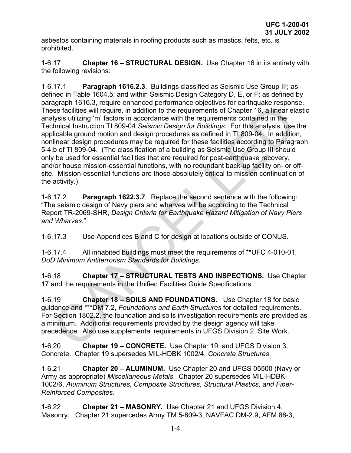asbestos containing materials in roofing products such as mastics, felts, etc. is prohibited.

1-6.17 **Chapter 16 – STRUCTURAL DESIGN.** Use Chapter 16 in its entirety with the following revisions:

1-6.17.1 **Paragraph 1616.2.3**. Buildings classified as Seismic Use Group III; as defined in Table 1604.5; and within Seismic Design Category D, E, or F; as defined by paragraph 1616.3, require enhanced performance objectives for earthquake response. These facilities will require, in addition to the requirements of Chapter 16, a linear elastic analysis utilizing 'm' factors in accordance with the requirements contained in the Technical Instruction TI 809-04 *Seismic Design for Buildings*. For this analysis, use the applicable ground motion and design procedures as defined in TI 809-04. In addition, nonlinear design procedures may be required for these facilities according to Paragraph 5-4.b of TI 809-04. (The classification of a building as Seismic Use Group III should only be used for essential facilities that are required for post-earthquake recovery, and/or house mission-essential functions, with no redundant back-up facility on- or offsite. Mission-essential functions are those absolutely critical to mission continuation of the activity.) eyapper viewer in addition to the requirements of Chapter 16, a linear elements will require, in addition to the requirements of Chapter 16, a linear elements that the requirements of Chapter 16, a linear elements to Chapt

1-6.17.2 **Paragraph 1622.3.7**. Replace the second sentence with the following: "The seismic design of Navy piers and wharves will be according to the Technical Report TR-2069-SHR, *Design Criteria for Earthquake Hazard Mitigation of Navy Piers and Wharves*."

1-6.17.3 Use Appendices B and C for design at locations outside of CONUS.

1-6.17.4 All inhabited buildings must meet the requirements of \*\*UFC 4-010-01, *DoD Minimum Antiterrorism Standards for Buildings*.

1-6.18 **Chapter 17 – STRUCTURAL TESTS AND INSPECTIONS.** Use Chapter 17 and the requirements in the Unified Facilities Guide Specifications.

1-6.19 **Chapter 18 – SOILS AND FOUNDATIONS.** Use Chapter 18 for basic guidance and \*\*\*DM 7.2, *Foundations and Earth Structures* for detailed requirements. For Section 1802.2, the foundation and soils investigation requirements are provided as a minimum. Additional requirements provided by the design agency will take precedence. Also use supplemental requirements in UFGS Division 2, Site Work.

1-6.20 **Chapter 19 – CONCRETE.** Use Chapter 19, and UFGS Division 3, Concrete. Chapter 19 supersedes MIL-HDBK 1002/4, *Concrete Structures*.

1-6.21 **Chapter 20 – ALUMINUM.** Use Chapter 20 and UFGS 05500 (Navy or Army as appropriate) *Miscellaneous Metals*. Chapter 20 supersedes MIL-HDBK-1002/6, *Aluminum Structures, Composite Structures, Structural Plastics, and Fiber-Reinforced Composites*.

1-6.22 **Chapter 21 – MASONRY.** Use Chapter 21 and UFGS Division 4, Masonry. Chapter 21 supercedes Army TM 5-809-3, NAVFAC DM-2.9, AFM 88-3,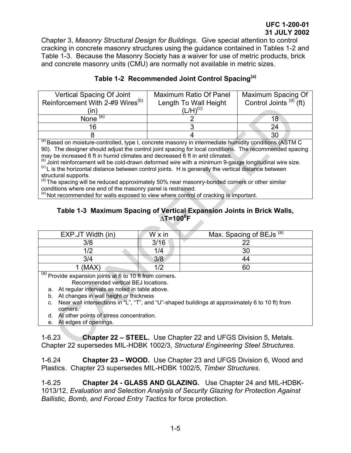Chapter 3, *Masonry Structural Design for Buildings*. Give special attention to control cracking in concrete masonry structures using the guidance contained in Tables 1-2 and Table 1-3. Because the Masonry Society has a waiver for use of metric products, brick and concrete masonry units (CMU) are normally not available in metric sizes.

| Vertical Spacing Of Joint<br>Reinforcement With 2-#9 Wires <sup>(b)</sup> | <b>Maximum Ratio Of Panel</b><br>Length To Wall Height | Maximum Spacing Of<br>Control Joints $^{(d)}$ (ft)                                                                                                                                                                                                                                                          |
|---------------------------------------------------------------------------|--------------------------------------------------------|-------------------------------------------------------------------------------------------------------------------------------------------------------------------------------------------------------------------------------------------------------------------------------------------------------------|
|                                                                           | $(L/H)^{(c)}$                                          |                                                                                                                                                                                                                                                                                                             |
| (e)<br>None                                                               |                                                        |                                                                                                                                                                                                                                                                                                             |
| 16                                                                        |                                                        | 24                                                                                                                                                                                                                                                                                                          |
|                                                                           |                                                        | 30                                                                                                                                                                                                                                                                                                          |
|                                                                           |                                                        | $\mathbf{L}$ , $\mathbf{L}$ , $\mathbf{L}$ , $\mathbf{L}$ , $\mathbf{L}$ , $\mathbf{L}$ , $\mathbf{L}$ , $\mathbf{L}$ , $\mathbf{L}$ , $\mathbf{L}$ , $\mathbf{L}$ , $\mathbf{L}$ , $\mathbf{L}$ , $\mathbf{L}$ , $\mathbf{L}$ , $\mathbf{L}$ , $\mathbf{L}$ , $\mathbf{L}$ , $\mathbf{L}$ , $\mathbf{L}$ , |

# **Table 1-2 Recommended Joint Control Spacing(a)**

# **Table 1-3 Maximum Spacing of Vertical Expansion Joints in Brick Walls, ∆T=1000 F**

| $\frac{1}{2}$ of the control of $\frac{1}{2}$ of $\frac{1}{2}$ of $\frac{1}{2}$ of $\frac{1}{2}$                                                                                                                                                                                                                                                                                                                                                                                                                                                                                                                                                                                                                                                                                                                                                                                                                                                    |                                                                                                                                                           | Lungur To Wall Holght | טוווטט וטאט<br>$\cdots$             |  |  |  |
|-----------------------------------------------------------------------------------------------------------------------------------------------------------------------------------------------------------------------------------------------------------------------------------------------------------------------------------------------------------------------------------------------------------------------------------------------------------------------------------------------------------------------------------------------------------------------------------------------------------------------------------------------------------------------------------------------------------------------------------------------------------------------------------------------------------------------------------------------------------------------------------------------------------------------------------------------------|-----------------------------------------------------------------------------------------------------------------------------------------------------------|-----------------------|-------------------------------------|--|--|--|
| (in)                                                                                                                                                                                                                                                                                                                                                                                                                                                                                                                                                                                                                                                                                                                                                                                                                                                                                                                                                |                                                                                                                                                           | $(L/H)^{(c)}$         |                                     |  |  |  |
| None $(e)$                                                                                                                                                                                                                                                                                                                                                                                                                                                                                                                                                                                                                                                                                                                                                                                                                                                                                                                                          |                                                                                                                                                           | $\overline{2}$        | 18                                  |  |  |  |
| 16                                                                                                                                                                                                                                                                                                                                                                                                                                                                                                                                                                                                                                                                                                                                                                                                                                                                                                                                                  |                                                                                                                                                           | $\overline{3}$        | 24                                  |  |  |  |
| 8                                                                                                                                                                                                                                                                                                                                                                                                                                                                                                                                                                                                                                                                                                                                                                                                                                                                                                                                                   |                                                                                                                                                           | 4                     | 30                                  |  |  |  |
| (a) Based on moisture-controlled, type I, concrete masonry in intermediate humidity conditions (ASTM C<br>90). The designer should adjust the control joint spacing for local conditions. The recommended spacing<br>may be increased 6 ft in humid climates and decreased 6 ft in arid climates.<br><sup>(b)</sup> Joint reinforcement will be cold-drawn deformed wire with a minimum 9-gauge longitudinal wire size.<br>${}^{\text{(c)}}$ L is the horizontal distance between control joints. H is generally the vertical distance between<br>structural supports.<br>(d) The spacing will be reduced approximately 50% near masonry-bonded corners or other similar<br>conditions where one end of the masonry panel is restrained.<br><sup>(e)</sup> Not recommended for walls exposed to view where control of cracking is important.<br>Table 1-3 Maximum Spacing of Vertical Expansion Joints in Brick Walls,<br>$\Delta T = 100^{\circ}F$ |                                                                                                                                                           |                       |                                     |  |  |  |
| EXP.JT Width (in)                                                                                                                                                                                                                                                                                                                                                                                                                                                                                                                                                                                                                                                                                                                                                                                                                                                                                                                                   | $W \times in$                                                                                                                                             |                       | Max. Spacing of BEJs <sup>(a)</sup> |  |  |  |
| 3/8                                                                                                                                                                                                                                                                                                                                                                                                                                                                                                                                                                                                                                                                                                                                                                                                                                                                                                                                                 | 3/16                                                                                                                                                      |                       | 22                                  |  |  |  |
| 1/2                                                                                                                                                                                                                                                                                                                                                                                                                                                                                                                                                                                                                                                                                                                                                                                                                                                                                                                                                 | 1/4                                                                                                                                                       |                       | 30                                  |  |  |  |
| 3/4                                                                                                                                                                                                                                                                                                                                                                                                                                                                                                                                                                                                                                                                                                                                                                                                                                                                                                                                                 | 3/8                                                                                                                                                       |                       | 44                                  |  |  |  |
| $1$ (MAX)                                                                                                                                                                                                                                                                                                                                                                                                                                                                                                                                                                                                                                                                                                                                                                                                                                                                                                                                           | 1/2                                                                                                                                                       |                       | 60                                  |  |  |  |
| (a) Provide expansion joints at 6 to 10 ft from corners.<br>Recommended vertical BEJ locations.<br>a. At regular intervals as noted in table above.<br>b. At changes in wall height or thickness<br>Near wall intersections in "L", "T", and "U"-shaped buildings at approximately 6 to 10 ft) from<br>$C_{\cdot}$<br>corners.<br>d. At other points of stress concentration.<br>At edges of openings.<br>e.                                                                                                                                                                                                                                                                                                                                                                                                                                                                                                                                        |                                                                                                                                                           |                       |                                     |  |  |  |
| $1 - 6.23$                                                                                                                                                                                                                                                                                                                                                                                                                                                                                                                                                                                                                                                                                                                                                                                                                                                                                                                                          | <b>Chapter 22 – STEEL.</b> Use Chapter 22 and UFGS Division 5, Metals.<br>Chapter 22 supersedes MIL-HDBK 1002/3, Structural Engineering Steel Structures. |                       |                                     |  |  |  |

- b. At changes in wall height or thickness
- c. Near wall intersections in "L", "T", and "U"-shaped buildings at approximately 6 to 10 ft) from corners.
- d. At other points of stress concentration.
- e. At edges of openings.

1-6.23 **Chapter 22 – STEEL.** Use Chapter 22 and UFGS Division 5, Metals. Chapter 22 supersedes MIL-HDBK 1002/3, *Structural Engineering Steel Structures*.

1-6.24 **Chapter 23 – WOOD.** Use Chapter 23 and UFGS Division 6, Wood and Plastics. Chapter 23 supersedes MIL-HDBK 1002/5, *Timber Structures*.

1-6.25 **Chapter 24 - GLASS AND GLAZING.** Use Chapter 24 and MIL-HDBK-1013/12, *Evaluation and Selection Analysis of Security Glazing for Protection Against Ballistic, Bomb, and Forced Entry Tactics* for force protection.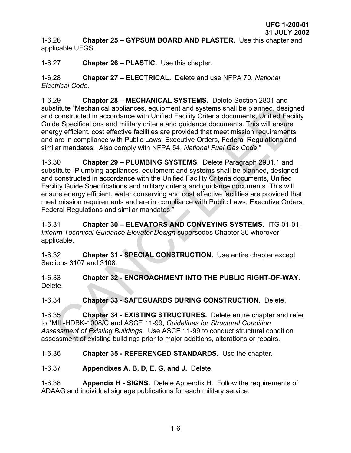1-6.26 **Chapter 25 – GYPSUM BOARD AND PLASTER.** Use this chapter and applicable UFGS.

1-6.27 **Chapter 26 – PLASTIC.** Use this chapter.

1-6.28 **Chapter 27 – ELECTRICAL.** Delete and use NFPA 70, *National Electrical Code.* 

1-6.29 **Chapter 28 – MECHANICAL SYSTEMS.** Delete Section 2801 and substitute "Mechanical appliances, equipment and systems shall be planned, designed and constructed in accordance with Unified Facility Criteria documents, Unified Facility Guide Specifications and military criteria and guidance documents. This will ensure energy efficient, cost effective facilities are provided that meet mission requirements and are in compliance with Public Laws, Executive Orders, Federal Regulations and similar mandates. Also comply with NFPA 54, *National Fuel Gas Code.*"

1-6.30 **Chapter 29 – PLUMBING SYSTEMS.** Delete Paragraph 2901.1 and substitute "Plumbing appliances, equipment and systems shall be planned, designed and constructed in accordance with the Unified Facility Criteria documents, Unified Facility Guide Specifications and military criteria and guidance documents. This will ensure energy efficient, water conserving and cost effective facilities are provided that meet mission requirements and are in compliance with Public Laws, Executive Orders, Federal Regulations and similar mandates." stitute "Mechanical appliances, equipment and systems shall be planned, design<br>constructed in accordance with Duified Facility Criteria documents, Unified Facility<br>de Specifications and military criteria and guidance docum

1-6.31 **Chapter 30 – ELEVATORS AND CONVEYING SYSTEMS.** ITG 01-01, *Interim Technical Guidance Elevator Design* supersedes Chapter 30 wherever applicable.

1-6.32 **Chapter 31 - SPECIAL CONSTRUCTION.** Use entire chapter except Sections 3107 and 3108.

1-6.33 **Chapter 32 - ENCROACHMENT INTO THE PUBLIC RIGHT-OF-WAY.**  Delete.

1-6.34 **Chapter 33 - SAFEGUARDS DURING CONSTRUCTION.** Delete.

1-6.35 **Chapter 34 - EXISTING STRUCTURES.** Delete entire chapter and refer to \*MIL-HDBK-1008/C and ASCE 11-99, *Guidelines for Structural Condition Assessment of Existing Buildings*. Use ASCE 11-99 to conduct structural condition assessment of existing buildings prior to major additions, alterations or repairs.

1-6.36 **Chapter 35 - REFERENCED STANDARDS.** Use the chapter.

1-6.37 **Appendixes A, B, D, E, G, and J.** Delete.

1-6.38 **Appendix H - SIGNS.** Delete Appendix H. Follow the requirements of ADAAG and individual signage publications for each military service.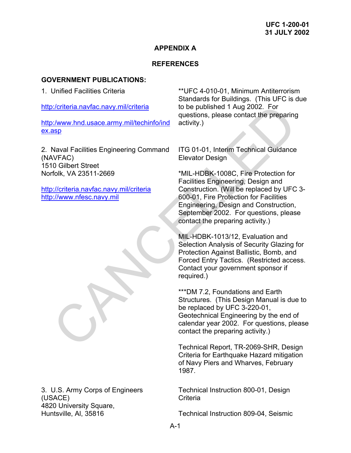# **APPENDIX A**

# **REFERENCES**

# **GOVERNMENT PUBLICATIONS:**

1. Unified Facilities Criteria

http:/criteria.navfac.navy.mil/criteria

http:/www.hnd.usace.army.mil/techinfo/ind [ex.asp](http://www.hnd.usace.army.mil/techinfo/index.asp)

2. Naval Facilities Engineering Command (NAVFAC) 1510 Gilbert Street Norfolk, VA 23511-2669

http://criteria.navfac.navy.mil/criteria http://www.nfesc.navy.mil

3. U.S. Army Corps of Engineers (USACE) 4820 University Square, Huntsville, Al, 35816

\*\*UFC 4-010-01, Minimum Antiterrorism Standards for Buildings. (This UFC is due to be published 1 Aug 2002. For questions, please contact the preparing activity.)

ITG 01-01, Interim Technical Guidance Elevator Design

\*MIL-HDBK-1008C, Fire Protection for Facilities Engineering, Design and Construction. (Will be replaced by UFC 3- 600-01, Fire Protection for Facilities Engineering, Design and Construction, September 2002. For questions, please contact the preparing activity.) v/oriteria.navfac.navy.mil/teriteria<br>
to be published 1 Aug 2002. For<br>
the preparing<br>
were districted activity.)<br>
Naval Facilities Engineering Command ITG 01-01, Interim Technical Guidance<br>
CHE Street<br>
Districted Elevator

MIL-HDBK-1013/12, Evaluation and Selection Analysis of Security Glazing for Protection Against Ballistic, Bomb, and Forced Entry Tactics. (Restricted access. Contact your government sponsor if required.)

\*\*\*DM 7.2, Foundations and Earth Structures. (This Design Manual is due to be replaced by UFC 3-220-01, Geotechnical Engineering by the end of calendar year 2002. For questions, please contact the preparing activity.)

Technical Report, TR-2069-SHR, Design Criteria for Earthquake Hazard mitigation of Navy Piers and Wharves, February 1987.

Technical Instruction 800-01, Design **Criteria** 

Technical Instruction 809-04, Seismic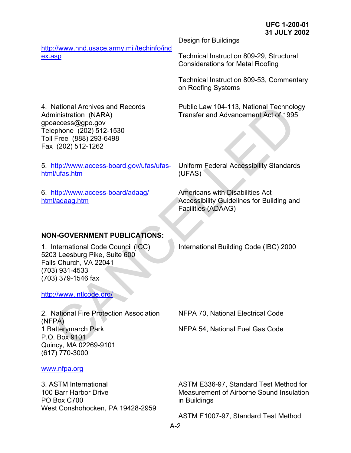[http://www.hnd.usace.army.mil/techinfo/ind](http://www.hnd.usace.army.mil/techinfo/index.asp) [ex.asp](http://www.hnd.usace.army.mil/techinfo/index.asp)

Design for Buildings

Technical Instruction 809-29, Structural Considerations for Metal Roofing

Technical Instruction 809-53, Commentary on Roofing Systems

Public Law 104-113, National Technology Transfer and Advancement Act of 1995

4. National Archives and Records Administration (NARA) gpoaccess@gpo.gov Telephone (202) 512-1530 Toll Free (888) 293-6498 Fax (202) 512-1262

5. http://www.access-board.gov/ufas/ufas[html/ufas.htm](http://www.access-board.gov/ufas/ufas-html/ufas.htm)

6. http://www.access-board/adaag/ html/adaag.htm

Uniform Federal Accessibility Standards (UFAS)

Americans with Disabilities Act Accessibility Guidelines for Building and Facilities (ADAAG)

# **NON-GOVERNMENT PUBLICATIONS:**

1. International Code Council (ICC) 5203 Leesburg Pike, Suite 600 Falls Church, VA 22041 (703) 931-4533 (703) 379-1546 fax

http://www.intlcode.org/

2. National Fire Protection Association (NFPA) 1 Batterymarch Park P.O. Box 9101 Quincy, MA 02269-9101 (617) 770-3000 National Archives and Records<br>
ministration (NARA)<br>
incitation (NARA)<br>
access@gpo.gov<br>
Free (888) 293-6498<br>
Free (888) 293-6498<br>
(202) 512-1262<br>
(202) 512-1262<br>
(202) 512-1262<br>
(202) 512-1262<br>
(202) 512-1262<br>
Muhimmuncess-

International Building Code (IBC) 2000

NFPA 70, National Electrical Code

NFPA 54, National Fuel Gas Code

[www.nfpa.org](http://www.nfpa.org/)

3. ASTM International 100 Barr Harbor Drive PO Box C700 West Conshohocken, PA 19428-2959 ASTM E336-97, Standard Test Method for Measurement of Airborne Sound Insulation in Buildings

ASTM E1007-97, Standard Test Method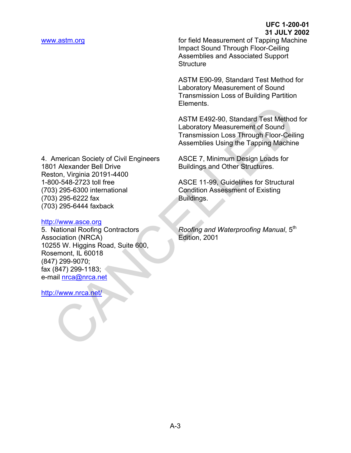[www.astm.org](http://www.astm.org/) **for field Measurement of Tapping Machine** Impact Sound Through Floor-Ceiling Assemblies and Associated Support **Structure** 

> ASTM E90-99, Standard Test Method for Laboratory Measurement of Sound Transmission Loss of Building Partition Elements.

ASTM E492-90, Standard Test Method for Laboratory Measurement of Sound Transmission Loss Through Floor-Ceiling Assemblies Using the Tapping Machine

ASCE 7, Minimum Design Loads for Buildings and Other Structures.

ASCE 11-99, Guidelines for Structural Condition Assessment of Existing Buildings.

*Roofing and Waterproofing Manual*, 5th Edition, 2001

4. American Society of Civil Engineers 1801 Alexander Bell Drive Reston, Virginia 20191-4400 1-800-548-2723 toll free (703) 295-6300 international (703) 295-6222 fax (703) 295-6444 faxback Elements.<br>
ASTM E492-90, Standard Test Method<br>
Laboratory Measurement of Sound<br>
Transmission Loss Through Floor-Ceili<br>
Assemblies Using the Tapping Machine<br>
Ancerican Society of Civil Engineers<br>
ASCE 7, Minimum Design Load

### http://www.asce.org

5. National Roofing Contractors Association (NRCA) 10255 W. Higgins Road, Suite 600, Rosemont, IL 60018 (847) 299-9070; fax (847) 299-1183; e-mail nrca@nrca.net

http://www.nrca.net/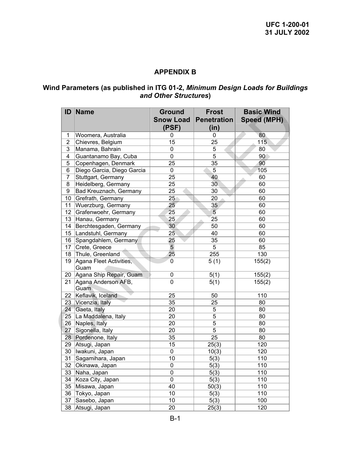# **APPENDIX B**

### **Wind Parameters (as published in ITG 01-2,** *Minimum Design Loads for Buildings and Other Structures***)**

| ID             | <b>Name</b>                     | <b>Ground</b><br><b>Snow Load</b><br>(PSF) | <b>Frost</b><br><b>Penetration</b><br>(in) | <b>Basic Wind</b><br><b>Speed (MPH)</b> |
|----------------|---------------------------------|--------------------------------------------|--------------------------------------------|-----------------------------------------|
| 1              | Woomera, Australia              | 0                                          | 0                                          | 80                                      |
| $\overline{2}$ | Chievres, Belgium               | 15                                         | 25                                         | 115                                     |
| 3              | Manama, Bahrain                 | 0                                          | 5                                          | 80                                      |
| 4              | Guantanamo Bay, Cuba            | 0                                          | $\overline{5}$                             | 90                                      |
| 5              | Copenhagen, Denmark             | 25                                         | 35                                         | 90                                      |
| 6              | Diego Garcia, Diego Garcia      | 0                                          | 5                                          | 105                                     |
| $\overline{7}$ | Stuttgart, Germany              | 25                                         | 40                                         | 60                                      |
| 8              | Heidelberg, Germany             | 25                                         | 30 <sub>1</sub>                            | 60                                      |
| 9              | Bad Kreuznach, Germany          | 25                                         | 30                                         | 60                                      |
| 10             | Grefrath, Germany               | 25                                         | 20                                         | 60                                      |
| 11             | Wuerzburg, Germany              | 25 <sub>2</sub>                            | 35                                         | 60                                      |
| 12             | Grafenwoehr, Germany            | 25                                         | 5 <sup>′</sup>                             | 60                                      |
| 13             | Hanau, Germany                  | 25                                         | 25                                         | 60                                      |
| 14             | Berchtesgaden, Germany          | 30                                         | 50                                         | 60                                      |
|                | 15  Landstuhl, Germany          | 25                                         | 40                                         | 60                                      |
| 16             | Spangdahlem, Germany            | 25                                         | 35                                         | 60                                      |
| 17             | Crete, Greece                   | $\overline{5}$                             | 5                                          | 85                                      |
| 18             | Thule, Greenland                | 25                                         | 255                                        | 130                                     |
| 19             | Agana Fleet Activities,<br>Guam | 0                                          | 5(1)                                       | 155(2)                                  |
| 20             | Agana Ship Repair, Guam         | 0                                          | 5(1)                                       | 155(2)                                  |
| 21             | Agana Anderson AFB,<br>Guam     | $\mathbf 0$                                | 5(1)                                       | 155(2)                                  |
| 22             | Keflavik, Iceland               | 25                                         | 50                                         | 110                                     |
|                | 23 Vicenzia, Italy              | 35                                         | 25                                         | 80                                      |
| 24             | Gaeta, Italy                    | 20                                         | 5                                          | 80                                      |
| 25             | La Maddalena, Italy             | 20                                         | 5                                          | 80                                      |
|                | 26 Naples, Italy                | 20                                         | $\overline{5}$                             | 80                                      |
| 27             | Sigonella, Italy                | 20                                         | $\overline{5}$                             | 80                                      |
|                | 28 Pordenone, Italy             | 35                                         | 25                                         | 80                                      |
|                | 29 Atsugi, Japan                | 15                                         | 25(3)                                      | 120                                     |
|                | 30   Iwakuni, Japan             | 0                                          | 10(3)                                      | 120                                     |
| 31             | Sagamihara, Japan               | 10                                         | 5(3)                                       | 110                                     |
| 32             | Okinawa, Japan                  | 0                                          | 5(3)                                       | 110                                     |
| 33             | Naha, Japan                     | 0                                          | 5(3)                                       | 110                                     |
| 34             | Koza City, Japan                | 0                                          | 5(3)                                       | 110                                     |
| 35             | Misawa, Japan                   | 40                                         | 50(3)                                      | 110                                     |
| 36             | Tokyo, Japan                    | 10                                         | 5(3)                                       | 110                                     |
| 37             | Sasebo, Japan                   | 10                                         | 5(3)                                       | 100                                     |
|                | 38 Atsugi, Japan                | 20                                         | 25(3)                                      | 120                                     |
|                |                                 |                                            |                                            |                                         |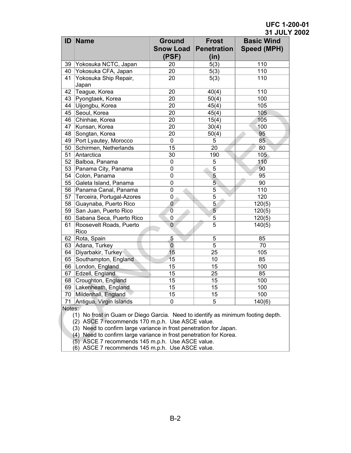| ID     | Name                                                                                                                                                                                                       | <b>Ground</b><br><b>Snow Load</b>                    | <b>Frost</b><br><b>Penetration</b> | <b>Basic Wind</b> |
|--------|------------------------------------------------------------------------------------------------------------------------------------------------------------------------------------------------------------|------------------------------------------------------|------------------------------------|-------------------|
|        |                                                                                                                                                                                                            |                                                      |                                    | Speed (MPH)       |
|        |                                                                                                                                                                                                            | (PSF)                                                | (in)                               |                   |
|        | 39 Yokosuka NCTC, Japan                                                                                                                                                                                    | 20                                                   | 5(3)                               | 110               |
|        | 40 Yokosuka CFA, Japan                                                                                                                                                                                     | 20                                                   | 5(3)                               | 110               |
| 41     | Yokosuka Ship Repair,<br>Japan                                                                                                                                                                             | 20                                                   | 5(3)                               | 110               |
|        | 42 Teague, Korea                                                                                                                                                                                           | 20                                                   | 40(4)                              | 110               |
|        | 43 Pyongtaek, Korea                                                                                                                                                                                        | 20                                                   | 50(4)                              | 100               |
| 44     | Uijongbu, Korea                                                                                                                                                                                            | 20                                                   | 45(4)                              | 105               |
| 45     | Seoul, Korea                                                                                                                                                                                               | 20                                                   | 45(4)                              | 105               |
|        | 46 Chinhae, Korea                                                                                                                                                                                          | 20                                                   | 15(4)                              | 105               |
| 47     | Kunsan, Korea                                                                                                                                                                                              | 20                                                   | 30(4)                              | 100               |
| 48     | Songtan, Korea                                                                                                                                                                                             | 20                                                   | 50(4)                              | 95                |
| 49     | Port Lyautey, Morocco                                                                                                                                                                                      | $\mathbf 0$                                          | 5                                  | 85                |
| 50     | Schirmen, Netherlands                                                                                                                                                                                      | 15                                                   | 20                                 | 80                |
| 51     | Antarctica                                                                                                                                                                                                 | 30                                                   | 190                                | 105               |
| 52     | Balboa, Panama                                                                                                                                                                                             | 0                                                    | 5                                  | 110               |
|        | 53 Panama City, Panama                                                                                                                                                                                     | 0                                                    | $\overline{5}$                     | 90                |
| 54     | Colon, Panama                                                                                                                                                                                              | 0                                                    | 5                                  | 95                |
| 55     | Galeta Island, Panama                                                                                                                                                                                      | 0                                                    | $\overline{5}$                     | 90                |
|        | 56 Panama Canal, Panama                                                                                                                                                                                    | 0                                                    | $\overline{5}$                     | 110               |
| 57     | Terceira, Portugal-Azores                                                                                                                                                                                  | 0                                                    | $\overline{5}$                     | 120               |
| 58     | Guaynaba, Puerto Rico                                                                                                                                                                                      | $\overline{0}$                                       | $\overline{5}$                     | 120(5)            |
| 59     | San Juan, Puerto Rico                                                                                                                                                                                      | $\boldsymbol{0}$                                     | $\overline{5}$                     | 120(5)            |
| 60     | Sabana Seca, Puerto Rico                                                                                                                                                                                   | 0                                                    | 5                                  | 120(5)            |
| 61     | Roosevelt Roads, Puerto<br>Rico                                                                                                                                                                            | $\overline{0}$                                       | $\overline{5}$                     | 140(5)            |
| 62     | Rota, Spain                                                                                                                                                                                                | 5                                                    | 5                                  | 85                |
| 63     | Adana, Turkey                                                                                                                                                                                              | $\overline{0}$                                       | $\overline{5}$                     | 70                |
| 64     | Diyarbakir, Turkey                                                                                                                                                                                         | 15                                                   | 25                                 | 105               |
| 65     | Southampton, England                                                                                                                                                                                       | 15                                                   | 10                                 | 85                |
|        | 66 London, England                                                                                                                                                                                         | 15                                                   | 15                                 | 100               |
| 67     | Edzell, England                                                                                                                                                                                            | 15                                                   | 25                                 | 85                |
|        | 68 Croughton, England                                                                                                                                                                                      | 15                                                   | 15                                 | 100               |
|        | 69 Lakenheath, England                                                                                                                                                                                     | 15                                                   | 15                                 | 100               |
|        | 70 Mildenhall, England                                                                                                                                                                                     | 15                                                   | 15                                 | 100               |
| 71     | Antigua, Virgin Islands                                                                                                                                                                                    | 0                                                    | 5                                  | 140(6)            |
| Notes: | (1) No frost in Guam or Diego Garcia. Need to identify as minimum footing depth.<br>(2) ASCE 7 recommends 170 m.p.h. Use ASCE value.<br>(3) Need to confirm large variance in frost penetration for Japan. |                                                      |                                    |                   |
|        | (4) Need to confirm large variance in frost penetration for Korea.<br>(5) ASCE 7 recommends 145 m.p.h. Use ASCE value.                                                                                     | $(6)$ ASCE 7 recommends $145$ m $n h$ Use ASCE value |                                    |                   |

(6) ASCE 7 recommends 145 m.p.h. Use ASCE value.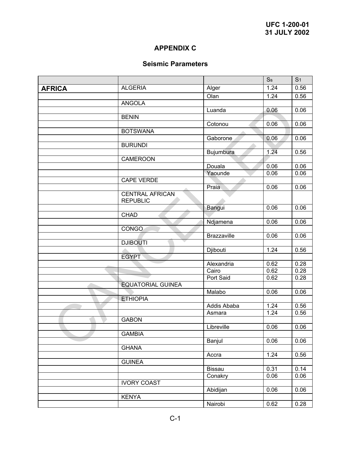# **APPENDIX C**

# **Seismic Parameters**

|               |                                             |                    | <b>Ss</b>         | S <sub>1</sub> |
|---------------|---------------------------------------------|--------------------|-------------------|----------------|
| <b>AFRICA</b> | <b>ALGERIA</b>                              | Alger              | $\overline{1.24}$ | 0.56           |
|               |                                             | Olan               | 1.24              | 0.56           |
|               | <b>ANGOLA</b>                               |                    |                   |                |
|               |                                             | Luanda             | 0.06              | 0.06           |
|               | <b>BENIN</b>                                |                    |                   |                |
|               |                                             | Cotonou            | 0.06              | 0.06           |
|               | <b>BOTSWANA</b>                             |                    |                   |                |
|               |                                             | Gaborone           | 0.06              | 0.06           |
|               | <b>BURUNDI</b>                              |                    |                   |                |
|               |                                             | Bujumbura          | 1.24              | 0.56           |
|               | CAMEROON                                    |                    |                   |                |
|               |                                             | Douala             | 0.06              | 0.06           |
|               |                                             | Yaounde            | 0.06              | 0.06           |
|               | <b>CAPE VERDE</b>                           |                    |                   |                |
|               |                                             | Praia              | 0.06              | 0.06           |
|               | <b>CENTRAL AFRICAN</b><br><b>REPUBLIC</b>   |                    |                   |                |
|               |                                             | Bangui             | 0.06              | 0.06           |
|               | <b>CHAD</b>                                 |                    |                   |                |
|               |                                             | Ndjamena           | 0.06              | 0.06           |
|               | <b>CONGO</b>                                |                    |                   |                |
|               |                                             | <b>Brazzaville</b> | 0.06              | 0.06           |
|               | $\overline{\phantom{a}}$<br><b>DJIBOUTI</b> |                    |                   |                |
|               |                                             | Djibouti           | 1.24              | 0.56           |
|               | <b>EGYPT</b>                                |                    |                   |                |
|               |                                             | Alexandria         | 0.62              | 0.28           |
|               |                                             | Cairo              | 0.62              | 0.28           |
|               |                                             | Port Said          | 0.62              | 0.28           |
|               | <b>EQUATORIAL GUINEA</b>                    |                    |                   |                |
|               |                                             | Malabo             | 0.06              | 0.06           |
|               | <b>ETHIOPIA</b>                             |                    |                   |                |
|               |                                             | Addis Ababa        | 1.24              | 0.56           |
|               |                                             | Asmara             | 1.24              | 0.56           |
|               | <b>GABON</b>                                |                    |                   |                |
|               |                                             | Libreville         | 0.06              | 0.06           |
|               | <b>GAMBIA</b>                               |                    |                   |                |
|               |                                             | Banjul             | 0.06              | 0.06           |
|               | <b>GHANA</b>                                |                    | 1.24              | 0.56           |
|               | <b>GUINEA</b>                               | Accra              |                   |                |
|               |                                             | Bissau             | 0.31              | 0.14           |
|               |                                             | Conakry            | 0.06              | 0.06           |
|               | <b>IVORY COAST</b>                          |                    |                   |                |
|               |                                             |                    |                   |                |
|               | <b>KENYA</b>                                | Abidijan           | 0.06              | 0.06           |
|               |                                             |                    | 0.62              | 0.28           |
|               |                                             | Nairobi            |                   |                |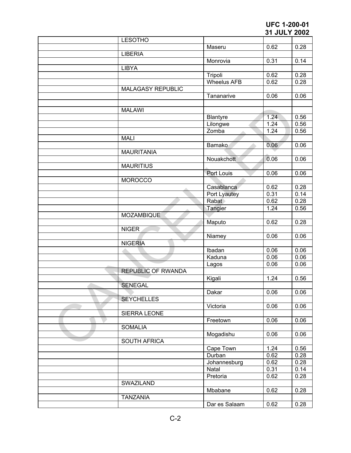| <b>LESOTHO</b>            |                    |                   |      |
|---------------------------|--------------------|-------------------|------|
|                           | Maseru             | 0.62              | 0.28 |
| <b>LIBERIA</b>            |                    |                   |      |
|                           | Monrovia           | 0.31              | 0.14 |
| <b>LIBYA</b>              |                    |                   |      |
|                           | Tripoli            | 0.62              | 0.28 |
|                           | <b>Wheelus AFB</b> | 0.62              | 0.28 |
| <b>MALAGASY REPUBLIC</b>  |                    |                   |      |
|                           | Tananarive         | 0.06              | 0.06 |
|                           |                    |                   |      |
|                           |                    |                   |      |
| <b>MALAWI</b>             |                    |                   |      |
|                           | <b>Blantyre</b>    | 1.24              | 0.56 |
|                           | Lilongwe           | 1.24              | 0.56 |
|                           | Zomba              | 1.24              | 0.56 |
| <b>MALI</b>               |                    |                   |      |
|                           | Bamako             | 0.06              | 0.06 |
| <b>MAURITANIA</b>         |                    |                   |      |
|                           | Nouakchott         | 0.06              | 0.06 |
| <b>MAURITIUS</b>          |                    |                   |      |
|                           | Port Louis         | 0.06              | 0.06 |
| <b>MOROCCO</b>            |                    |                   |      |
|                           | Casablanca         | 0.62              | 0.28 |
|                           | Port Lyautey       | 0.31              | 0.14 |
|                           | Rabat              | 0.62              | 0.28 |
|                           |                    |                   |      |
|                           | Tangier            | $1.\overline{24}$ | 0.56 |
| <b>MOZAMBIQUE</b>         |                    |                   |      |
|                           | Maputo             | 0.62              | 0.28 |
| <b>NIGER</b>              |                    |                   |      |
|                           | Niamey             | 0.06              | 0.06 |
| <b>NIGERIA</b>            |                    |                   |      |
|                           | Ibadan             | 0.06              | 0.06 |
|                           | Kaduna             | 0.06              | 0.06 |
|                           | Lagos              | 0.06              | 0.06 |
| <b>REPUBLIC OF RWANDA</b> |                    |                   |      |
|                           | Kigali             | 1.24              | 0.56 |
| <b>SENEGAL</b>            |                    |                   |      |
|                           | Dakar              | 0.06              | 0.06 |
| <b>SEYCHELLES</b>         |                    |                   |      |
|                           | Victoria           | 0.06              | 0.06 |
| SIERRA LEONE              |                    |                   |      |
|                           | Freetown           | 0.06              | 0.06 |
| <b>SOMALIA</b>            |                    |                   |      |
|                           | Mogadishu          | 0.06              | 0.06 |
| <b>SOUTH AFRICA</b>       |                    |                   |      |
|                           |                    |                   |      |
|                           | Cape Town          | 1.24              | 0.56 |
|                           | Durban             | 0.62              | 0.28 |
|                           | Johannesburg       | 0.62              | 0.28 |
|                           | Natal              | 0.31              | 0.14 |
|                           | Pretoria           | 0.62              | 0.28 |
| SWAZILAND                 |                    |                   |      |
|                           | Mbabane            | 0.62              | 0.28 |
| <b>TANZANIA</b>           |                    |                   |      |
|                           | Dar es Salaam      | 0.62              | 0.28 |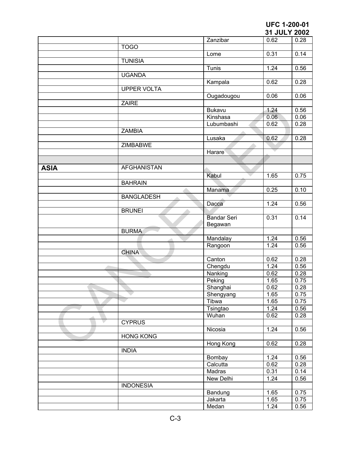|             |                    |                    | <b>JIJULI ZUUZ</b> |      |
|-------------|--------------------|--------------------|--------------------|------|
|             |                    | Zanzibar           | 0.62               | 0.28 |
|             | <b>TOGO</b>        |                    |                    |      |
|             |                    | Lome               | 0.31               | 0.14 |
|             | <b>TUNISIA</b>     |                    |                    |      |
|             |                    | Tunis              | 1.24               | 0.56 |
|             | <b>UGANDA</b>      |                    |                    |      |
|             |                    | Kampala            | 0.62               | 0.28 |
|             | <b>UPPER VOLTA</b> |                    |                    |      |
|             |                    | Ougadougou         | 0.06               | 0.06 |
|             | <b>ZAIRE</b>       |                    |                    |      |
|             |                    | <b>Bukavu</b>      | 1.24               | 0.56 |
|             |                    | Kinshasa           | 0.06               | 0.06 |
|             |                    | Lubumbashi         | 0.62               | 0.28 |
|             | <b>ZAMBIA</b>      |                    |                    |      |
|             |                    | Lusaka             | 0.62               | 0.28 |
|             |                    |                    |                    |      |
|             | ZIMBABWE           |                    |                    |      |
|             |                    | Harare             |                    |      |
|             |                    |                    |                    |      |
| <b>ASIA</b> | <b>AFGHANISTAN</b> |                    |                    |      |
|             |                    | Kabul              | 1.65               | 0.75 |
|             | <b>BAHRAIN</b>     |                    |                    |      |
|             |                    | Manama             | 0.25               | 0.10 |
|             | <b>BANGLADESH</b>  |                    |                    |      |
|             |                    | Dacca              | 1.24               | 0.56 |
|             | <b>BRUNEI</b>      |                    |                    |      |
|             |                    | <b>Bandar Seri</b> | 0.31               | 0.14 |
|             |                    |                    |                    |      |
|             | <b>BURMA</b>       | Begawan            |                    |      |
|             |                    |                    |                    |      |
|             |                    | Mandalay           | 1.24               | 0.56 |
|             |                    | Rangoon            | 1.24               | 0.56 |
|             | <b>CHINA</b>       |                    |                    |      |
|             |                    | Canton             | 0.62               | 0.28 |
|             |                    | Chengdu            | 1.24               | 0.56 |
|             |                    | Nanking            | 0.62               | 0.28 |
|             |                    | Peking             | 1.65               | 0.75 |
|             |                    | Shanghai           | 0.62               | 0.28 |
|             |                    | Shengyang          | 1.65               | 0.75 |
|             |                    | Tibwa              | 1.65               | 0.75 |
|             |                    | Tsingtao           | 1.24               | 0.56 |
|             |                    | Wuhan              | 0.62               | 0.28 |
|             | <b>CYPRUS</b>      |                    |                    |      |
|             |                    | Nicosia            | 1.24               | 0.56 |
|             | <b>HONG KONG</b>   |                    |                    |      |
|             |                    | Hong Kong          | 0.62               | 0.28 |
|             | <b>INDIA</b>       |                    |                    |      |
|             |                    | Bombay             | 1.24               | 0.56 |
|             |                    | Calcutta           | 0.62               | 0.28 |
|             |                    | Madras             | 0.31               | 0.14 |
|             |                    |                    | 1.24               |      |
|             |                    | New Delhi          |                    | 0.56 |
|             | <b>INDONESIA</b>   |                    |                    |      |
|             |                    | Bandung            | 1.65               | 0.75 |
|             |                    | Jakarta            | 1.65               | 0.75 |
|             |                    | Medan              | 1.24               | 0.56 |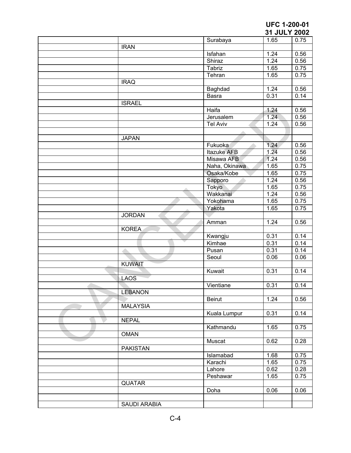|                 |               | <b>31 JULT ZUUZ</b> |      |
|-----------------|---------------|---------------------|------|
|                 | Surabaya      | 1.65                | 0.75 |
| <b>IRAN</b>     |               |                     |      |
|                 | Isfahan       | 1.24                | 0.56 |
|                 | Shiraz        | 1.24                | 0.56 |
|                 | Tabriz        | 1.65                | 0.75 |
|                 | Tehran        | 1.65                | 0.75 |
| <b>IRAQ</b>     |               |                     |      |
|                 | Baghdad       | 1.24                | 0.56 |
|                 | Basra         | 0.31                | 0.14 |
| <b>ISRAEL</b>   |               |                     |      |
|                 | Haifa         | 1.24                | 0.56 |
|                 |               |                     |      |
|                 | Jerusalem     | 1.24                | 0.56 |
|                 | Tel Aviv      | 1.24                | 0.56 |
|                 |               |                     |      |
| <b>JAPAN</b>    |               |                     |      |
|                 | Fukuoka       | 1.24                | 0.56 |
|                 | Itazuke AFB   | 1.24                | 0.56 |
|                 | Misawa AFB    | 1.24                | 0.56 |
|                 | Naha, Okinawa | 1.65                | 0.75 |
|                 | Osaka/Kobe    | 1.65                | 0.75 |
|                 | Sapporo       | 1.24                | 0.56 |
|                 | Tokyo         | 1.65                | 0.75 |
|                 | Wakkanai      | 1.24                | 0.56 |
|                 | Yokohama      | 1.65                | 0.75 |
|                 | Yakota        | 1.65                | 0.75 |
| <b>JORDAN</b>   |               |                     |      |
|                 | Amman         | 1.24                | 0.56 |
| <b>KOREA</b>    |               |                     |      |
|                 | Kwangju       | 0.31                | 0.14 |
|                 | Kimhae        | 0.31                | 0.14 |
|                 |               | 0.31                |      |
| A               | Pusan         |                     | 0.14 |
|                 | Seoul         | 0.06                | 0.06 |
| <b>KUWAIT</b>   |               |                     |      |
|                 | Kuwait        | 0.31                | 0.14 |
| <b>LAOS</b>     |               |                     |      |
|                 | Vientiane     | 0.31                | 0.14 |
| <b>LEBANON</b>  |               |                     |      |
|                 | <b>Beirut</b> | 1.24                | 0.56 |
| <b>MALAYSIA</b> |               |                     |      |
|                 | Kuala Lumpur  | 0.31                | 0.14 |
| <b>NEPAL</b>    |               |                     |      |
|                 | Kathmandu     | 1.65                | 0.75 |
| <b>OMAN</b>     |               |                     |      |
|                 | Muscat        | 0.62                | 0.28 |
|                 |               |                     |      |
|                 |               |                     |      |
| <b>PAKISTAN</b> |               |                     |      |
|                 | Islamabad     | 1.68                | 0.75 |
|                 | Karachi       | 1.65                | 0.75 |
|                 | Lahore        | 0.62                | 0.28 |
|                 | Peshawar      | 1.65                | 0.75 |
| <b>QUATAR</b>   |               |                     |      |
|                 | Doha          | 0.06                | 0.06 |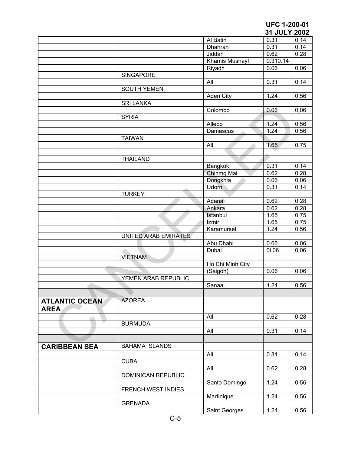|                       |                           |                  | 31 JULY 2002      |      |
|-----------------------|---------------------------|------------------|-------------------|------|
|                       |                           | Al Batin         | 0.31              | 0.14 |
|                       |                           | Dhahran          | 0.31              | 0.14 |
|                       |                           | Jiddah           | 0.62              | 0.28 |
|                       |                           | Khamis Mushayf   | 0.310.14          |      |
|                       |                           | Riyadh           | 0.06              | 0.06 |
|                       | <b>SINGAPORE</b>          |                  |                   |      |
|                       |                           | All              | 0.31              | 0.14 |
|                       | <b>SOUTH YEMEN</b>        |                  |                   |      |
|                       |                           | Aden City        | 1.24              | 0.56 |
|                       | <b>SRI LANKA</b>          |                  |                   |      |
|                       |                           |                  |                   |      |
|                       |                           | Colombo          | 0.06              | 0.06 |
|                       | <b>SYRIA</b>              |                  |                   |      |
|                       |                           | Allepo           | 1.24              | 0.56 |
|                       |                           | Damascus         | 1.24              | 0.56 |
|                       | <b>TAIWAN</b>             |                  |                   |      |
|                       |                           | All              | 1.65              | 0.75 |
|                       |                           |                  |                   |      |
|                       | <b>THAILAND</b>           |                  |                   |      |
|                       |                           | Bangkok          | 0.31              | 0.14 |
|                       |                           | Chinmg Mai       | 0.62              | 0.28 |
|                       |                           | Dongkhia         | 0.06              | 0.06 |
|                       |                           | <b>Udorn</b>     | 0.31              | 0.14 |
|                       | <b>TURKEY</b>             |                  |                   |      |
|                       |                           | Adana            | 0.62              | 0.28 |
|                       |                           | Ankara           | 0.62              | 0.28 |
|                       |                           |                  | 1.65              |      |
|                       |                           | Istanbul         |                   | 0.75 |
|                       |                           | Izmir            | 1.65              | 0.75 |
|                       |                           | Karamursel       | $\overline{1.24}$ | 0.56 |
|                       | UNITED ARAB EMIRATES      |                  |                   |      |
|                       |                           | Abu Dhabi        | 0.06              | 0.06 |
|                       |                           | Dubai            | 01.06             | 0.06 |
|                       | <b>VIETNAM</b>            |                  |                   |      |
|                       |                           | Ho Chi Minh City |                   |      |
|                       |                           | (Saigon)         | 0.06              | 0.06 |
|                       | YEMEN ARAB REPUBLIC       |                  |                   |      |
|                       |                           | Sanaa            | 1.24              | 0.56 |
|                       |                           |                  |                   |      |
| <b>ATLANTIC OCEAN</b> | <b>AZOREA</b>             |                  |                   |      |
|                       |                           |                  |                   |      |
| <b>AREA</b>           |                           |                  |                   |      |
|                       |                           | All              | 0.62              | 0.28 |
|                       | <b>BURMUDA</b>            |                  |                   |      |
|                       |                           | All              | 0.31              | 0.14 |
|                       |                           |                  |                   |      |
| <b>CARIBBEAN SEA</b>  | <b>BAHAMA ISLANDS</b>     |                  |                   |      |
|                       |                           | All              | 0.31              | 0.14 |
|                       | <b>CUBA</b>               |                  |                   |      |
|                       |                           | All              | 0.62              |      |
|                       |                           |                  |                   | 0.28 |
|                       | <b>DOMINICAN REPUBLIC</b> |                  |                   |      |
|                       |                           | Santo Domingo    | 1.24              | 0.56 |
|                       | FRENCH WEST INDIES        |                  |                   |      |
|                       |                           | Martinique       | 1.24              | 0.56 |
|                       | <b>GRENADA</b>            |                  |                   |      |
|                       |                           | Saint Georges    | 1.24              | 0.56 |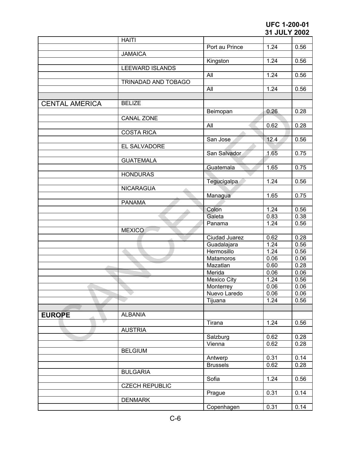|                       | <b>HAITI</b>           |                    |      |      |
|-----------------------|------------------------|--------------------|------|------|
|                       |                        | Port au Prince     | 1.24 | 0.56 |
|                       | <b>JAMAICA</b>         |                    |      |      |
|                       |                        | Kingston           | 1.24 | 0.56 |
|                       | <b>LEEWARD ISLANDS</b> |                    |      |      |
|                       |                        | All                | 1.24 | 0.56 |
|                       | TRINADAD AND TOBAGO    |                    |      |      |
|                       |                        | All                | 1.24 | 0.56 |
|                       |                        |                    |      |      |
| <b>CENTAL AMERICA</b> | <b>BELIZE</b>          |                    |      |      |
|                       |                        | Beimopan           | 0.26 | 0.28 |
|                       | <b>CANAL ZONE</b>      |                    |      |      |
|                       |                        | All                | 0.62 | 0.28 |
|                       | <b>COSTA RICA</b>      |                    |      |      |
|                       |                        | San Jose           | 12.4 | 0.56 |
|                       | EL SALVADORE           |                    |      |      |
|                       |                        | San Salvador       | 1.65 | 0.75 |
|                       | <b>GUATEMALA</b>       |                    |      |      |
|                       |                        |                    | 1.65 | 0.75 |
|                       |                        | Guatemala          |      |      |
|                       | <b>HONDURAS</b>        |                    |      |      |
|                       |                        | Tegucigalpa        | 1.24 | 0.56 |
|                       | <b>NICARAGUA</b>       |                    |      |      |
|                       |                        | Managua            | 1.65 | 0.75 |
|                       | <b>PANAMA</b>          |                    |      |      |
|                       |                        | Colon              | 1.24 | 0.56 |
|                       |                        | Galeta             | 0.83 | 0.38 |
|                       |                        | Panama             | 1.24 | 0.56 |
|                       | <b>MEXICO</b>          |                    |      |      |
|                       |                        | Ciudad Juarez      | 0.62 | 0.28 |
|                       |                        | Guadalajara        | 1.24 | 0.56 |
|                       |                        | Hermosillo         | 1.24 | 0.56 |
|                       |                        | Matamoros          | 0.06 | 0.06 |
|                       |                        | Mazatlan           | 0.60 | 0.28 |
|                       |                        | Merida             | 0.06 | 0.06 |
|                       |                        | <b>Mexico City</b> | 1.24 | 0.56 |
|                       |                        | Monterrey          | 0.06 | 0.06 |
|                       |                        | Nuevo Laredo       | 0.06 | 0.06 |
|                       |                        | Tijuana            | 1.24 | 0.56 |
|                       |                        |                    |      |      |
| <b>EUROPE</b>         | <b>ALBANIA</b>         |                    |      |      |
|                       |                        | Tirana             | 1.24 | 0.56 |
|                       | <b>AUSTRIA</b>         |                    |      |      |
|                       |                        | Salzburg           | 0.62 | 0.28 |
|                       |                        | Vienna             | 0.62 | 0.28 |
|                       | <b>BELGIUM</b>         |                    |      |      |
|                       |                        |                    | 0.31 | 0.14 |
|                       |                        | Antwerp            |      |      |
|                       |                        | <b>Brussels</b>    | 0.62 | 0.28 |
|                       | <b>BULGARIA</b>        |                    |      |      |
|                       |                        | Sofia              | 1.24 | 0.56 |
|                       | <b>CZECH REPUBLIC</b>  |                    |      |      |
|                       |                        | Prague             | 0.31 | 0.14 |
|                       | <b>DENMARK</b>         |                    |      |      |
|                       |                        | Copenhagen         | 0.31 | 0.14 |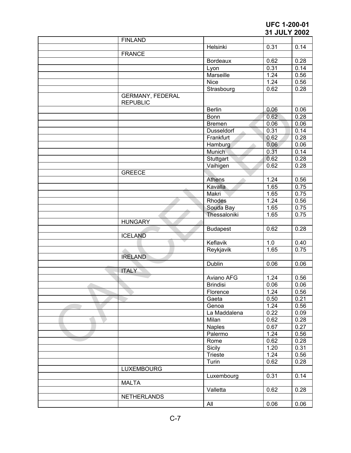|                                            |                 | JI JULI ZUUZ |      |
|--------------------------------------------|-----------------|--------------|------|
| <b>FINLAND</b>                             |                 |              |      |
|                                            | Helsinki        | 0.31         | 0.14 |
| <b>FRANCE</b>                              |                 |              |      |
|                                            | <b>Bordeaux</b> | 0.62         | 0.28 |
|                                            | Lyon            | 0.31         | 0.14 |
|                                            | Marseille       | 1.24         | 0.56 |
|                                            | <b>Nice</b>     | 1.24         | 0.56 |
|                                            | Strasbourg      | 0.62         | 0.28 |
| <b>GERMANY, FEDERAL</b><br><b>REPUBLIC</b> |                 |              |      |
|                                            | <b>Berlin</b>   | 0.06         | 0.06 |
|                                            | Bonn            | 0.62         | 0.28 |
|                                            | <b>Bremen</b>   | 0.06         | 0.06 |
|                                            | Dusseldorf      | 0.31         | 0.14 |
|                                            | Frankfurt       | 0.62         | 0.28 |
|                                            |                 | 0.06         | 0.06 |
|                                            | Hamburg         |              |      |
|                                            | Munich          | 0.31         | 0.14 |
|                                            | Stuttgart       | 0.62         | 0.28 |
|                                            | Vaihigen        | 0.62         | 0.28 |
| <b>GREECE</b>                              |                 |              |      |
|                                            | <b>Athens</b>   | 1.24         | 0.56 |
|                                            | Kavalla         | 1.65         | 0.75 |
|                                            | Makri           | 1.65         | 0.75 |
|                                            | Rhodes          | 1.24         | 0.56 |
|                                            | Souda Bay       | 1.65         | 0.75 |
|                                            | Thessaloniki    | 1.65         | 0.75 |
| <b>HUNGARY</b>                             |                 |              |      |
|                                            | <b>Budapest</b> | 0.62         | 0.28 |
| <b>ICELAND</b>                             |                 |              |      |
|                                            | Keflavik        | 1.0          | 0.40 |
|                                            | Reykjavik       | 1.65         | 0.75 |
| <b>IRELAND</b>                             |                 |              |      |
|                                            | Dublin          | 0.06         | 0.06 |
| <b>ITALY</b>                               |                 |              |      |
|                                            | Aviano AFG      | 1.24         | 0.56 |
|                                            | <b>Brindisi</b> | 0.06         | 0.06 |
|                                            | Florence        | 1.24         | 0.56 |
|                                            |                 |              | 0.21 |
|                                            | Gaeta           | 0.50         |      |
|                                            | Genoa           | 1.24         | 0.56 |
|                                            | La Maddalena    | 0.22         | 0.09 |
|                                            | Milan           | 0.62         | 0.28 |
|                                            | <b>Naples</b>   | 0.67         | 0.27 |
|                                            | Palermo         | 1.24         | 0.56 |
|                                            | Rome            | 0.62         | 0.28 |
|                                            | Sicily          | 1.20         | 0.31 |
|                                            | Trieste         | 1.24         | 0.56 |
|                                            | Turin           | 0.62         | 0.28 |
| <b>LUXEMBOURG</b>                          |                 |              |      |
|                                            | Luxembourg      | 0.31         | 0.14 |
| <b>MALTA</b>                               |                 |              |      |
|                                            | Valletta        | 0.62         | 0.28 |
|                                            |                 |              |      |
| <b>NETHERLANDS</b>                         |                 |              |      |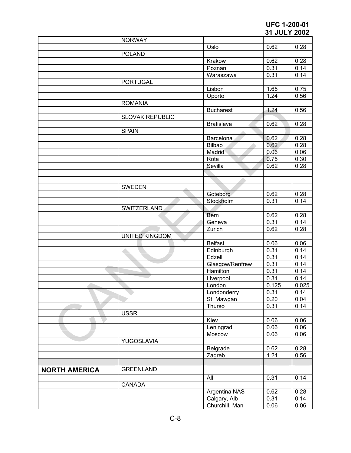|                      |                        |                   | UI UULI LUUL |       |
|----------------------|------------------------|-------------------|--------------|-------|
|                      | <b>NORWAY</b>          |                   |              |       |
|                      |                        | Oslo              | 0.62         | 0.28  |
|                      | <b>POLAND</b>          |                   |              |       |
|                      |                        | Krakow            | 0.62         | 0.28  |
|                      |                        | Poznan            | 0.31         | 0.14  |
|                      |                        | Waraszawa         | 0.31         | 0.14  |
|                      | <b>PORTUGAL</b>        |                   |              |       |
|                      |                        | Lisbon            | 1.65         | 0.75  |
|                      |                        | Oporto            | 1.24         | 0.56  |
|                      | <b>ROMANIA</b>         |                   |              |       |
|                      |                        | <b>Bucharest</b>  | 1.24         | 0.56  |
|                      | <b>SLOVAK REPUBLIC</b> |                   |              |       |
|                      |                        | <b>Bratislava</b> | 0.62         | 0.28  |
|                      | <b>SPAIN</b>           |                   |              |       |
|                      |                        | Barcelona         | 0.62         | 0.28  |
|                      |                        | Bilbao            | 0.62         | 0.28  |
|                      |                        | Madrid            | 0.06         | 0.06  |
|                      |                        | Rota              | 0.75         | 0.30  |
|                      |                        | Sevilla           | 0.62         | 0.28  |
|                      |                        |                   |              |       |
|                      |                        |                   |              |       |
|                      | <b>SWEDEN</b>          |                   |              |       |
|                      |                        | Goteborg          | 0.62         | 0.28  |
|                      |                        | Stockholm         | 0.31         | 0.14  |
|                      | SWITZERLAND            |                   |              |       |
|                      |                        | Bern              | 0.62         | 0.28  |
|                      |                        | Geneva            | 0.31         | 0.14  |
|                      |                        | Zurich            | 0.62         | 0.28  |
|                      | <b>UNITED KINGDOM</b>  |                   |              |       |
|                      |                        | <b>Belfast</b>    | 0.06         | 0.06  |
|                      |                        | Edinburgh         | 0.31         | 0.14  |
|                      |                        | Edzell            | 0.31         | 0.14  |
|                      |                        | Glasgow/Renfrew   | 0.31         | 0.14  |
|                      |                        | <b>Hamilton</b>   | 0.31         | 0.14  |
|                      |                        | Liverpool         | 0.31         | 0.14  |
|                      |                        | London            | 0.125        | 0.025 |
|                      |                        | Londonderry       | 0.31         | 0.14  |
|                      |                        | St. Mawgan        | 0.20         | 0.04  |
|                      |                        | Thurso            | 0.31         | 0.14  |
|                      | <b>USSR</b>            |                   |              |       |
|                      |                        | Kiev              | 0.06         | 0.06  |
|                      |                        | Leningrad         | 0.06         | 0.06  |
|                      |                        | Moscow            | 0.06         | 0.06  |
|                      | <b>YUGOSLAVIA</b>      |                   |              |       |
|                      |                        | Belgrade          | 0.62         | 0.28  |
|                      |                        | Zagreb            | 1.24         | 0.56  |
|                      |                        |                   |              |       |
|                      | <b>GREENLAND</b>       |                   |              |       |
| <b>NORTH AMERICA</b> |                        |                   |              |       |
|                      |                        | All               | 0.31         | 0.14  |
|                      | CANADA                 |                   |              |       |
|                      |                        | Argentina NAS     | 0.62         | 0.28  |
|                      |                        | Calgary, Alb      | 0.31         | 0.14  |
|                      |                        | Churchill, Man    | 0.06         | 0.06  |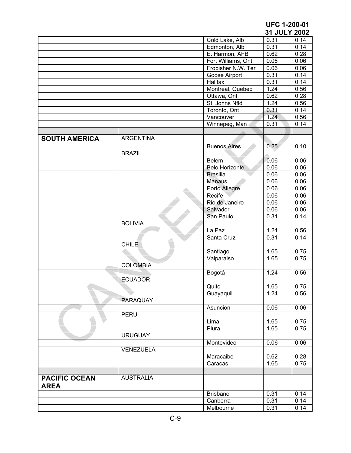|                                     |                  |                       | 31 JULY 2002      |      |
|-------------------------------------|------------------|-----------------------|-------------------|------|
|                                     |                  | Cold Lake, Alb        | 0.31              | 0.14 |
|                                     |                  | Edmonton, Alb         | 0.31              | 0.14 |
|                                     |                  | E. Harmon, AFB        | 0.62              | 0.28 |
|                                     |                  | Fort Williams, Ont    | 0.06              | 0.06 |
|                                     |                  | Frobisher N.W. Ter    | 0.06              | 0.06 |
|                                     |                  | Goose Airport         | 0.31              | 0.14 |
|                                     |                  | Halifax               | 0.31              | 0.14 |
|                                     |                  | Montreal, Quebec      | 1.24              | 0.56 |
|                                     |                  | Ottawa, Ont           | 0.62              | 0.28 |
|                                     |                  | St. Johns Nfld        | 1.24              | 0.56 |
|                                     |                  | Toronto, Ont          | 0.31              | 0.14 |
|                                     |                  | Vancouver             | 1.24.             | 0.56 |
|                                     |                  | Winnepeg, Man         | 0.31              | 0.14 |
|                                     |                  |                       |                   |      |
| <b>SOUTH AMERICA</b>                | <b>ARGENTINA</b> |                       |                   |      |
|                                     |                  | <b>Buenos Aires</b>   | 0.25              | 0.10 |
|                                     | <b>BRAZIL</b>    |                       |                   |      |
|                                     |                  |                       |                   |      |
|                                     |                  | Belem                 | 0.06              | 0.06 |
|                                     |                  | <b>Belo Horizonte</b> | 0.06              | 0.06 |
|                                     |                  | <b>Brasilia</b>       | 0.06              | 0.06 |
|                                     |                  | <b>Manaus</b>         | 0.06              | 0.06 |
|                                     |                  | Porto Allegre         | 0.06              | 0.06 |
|                                     |                  | Recife                | 0.06              | 0.06 |
|                                     |                  | Rio de Janeiro        | 0.06              | 0.06 |
|                                     |                  | Salvador              | 0.06              | 0.06 |
|                                     |                  | San Paulo             | 0.31              | 0.14 |
|                                     | <b>BOLIVIA</b>   |                       |                   |      |
|                                     |                  | La Paz                | 1.24              | 0.56 |
|                                     |                  | Santa Cruz            | 0.31              | 0.14 |
|                                     | <b>CHILE</b>     |                       |                   |      |
|                                     |                  | Santiago              | $\overline{1.65}$ | 0.75 |
|                                     |                  | Valparaiso            | 1.65              | 0.75 |
|                                     | <b>COLOMBIA</b>  |                       |                   |      |
|                                     |                  | Bogotá                | 1.24              | 0.56 |
|                                     | <b>ECUADOR</b>   |                       |                   |      |
|                                     |                  | Quito                 | 1.65              | 0.75 |
|                                     |                  | Guayaquil             | 1.24              | 0.56 |
|                                     | PARAQUAY         |                       |                   |      |
|                                     |                  | Asuncion              | 0.06              | 0.06 |
|                                     | <b>PERU</b>      |                       |                   |      |
|                                     |                  | Lima                  | 1.65              | 0.75 |
|                                     |                  | Plura                 | 1.65              | 0.75 |
|                                     | <b>URUGUAY</b>   |                       |                   |      |
|                                     |                  | Montevideo            | 0.06              | 0.06 |
|                                     | <b>VENEZUELA</b> |                       |                   |      |
|                                     |                  | Maracaibo             | 0.62              | 0.28 |
|                                     |                  | Caracas               | 1.65              | 0.75 |
|                                     |                  |                       |                   |      |
| <b>PACIFIC OCEAN</b><br><b>AREA</b> | <b>AUSTRALIA</b> |                       |                   |      |
|                                     |                  | <b>Brisbane</b>       | 0.31              | 0.14 |
|                                     |                  | Canberra              | 0.31              | 0.14 |
|                                     |                  | Melbourne             | 0.31              | 0.14 |